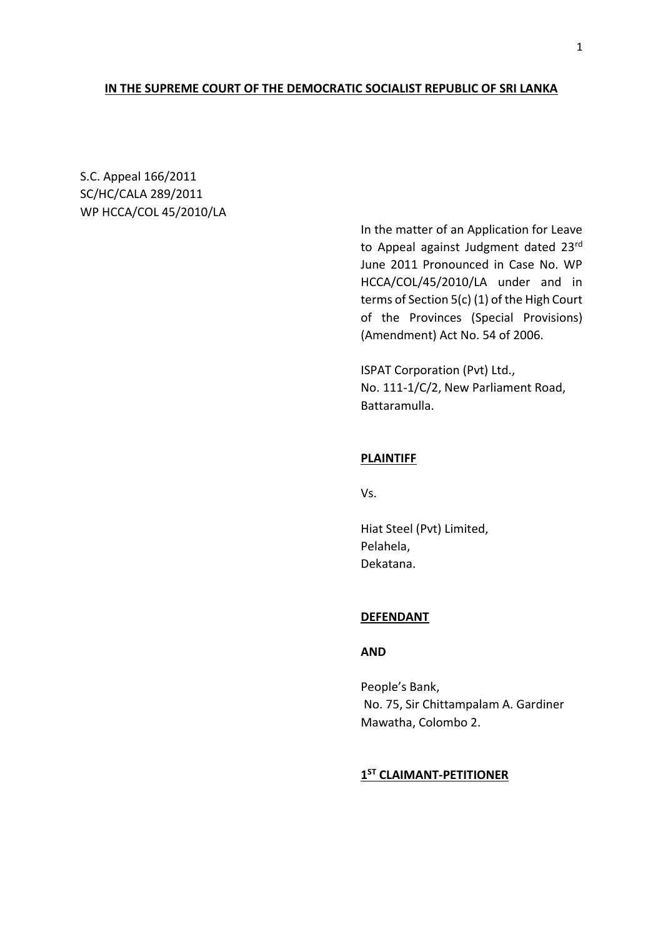### **IN THE SUPREME COURT OF THE DEMOCRATIC SOCIALIST REPUBLIC OF SRI LANKA**

S.C. Appeal 166/2011 SC/HC/CALA 289/2011 WP HCCA/COL 45/2010/LA

> In the matter of an Application for Leave to Appeal against Judgment dated 23rd June 2011 Pronounced in Case No. WP HCCA/COL/45/2010/LA under and in terms of Section 5(c) (1) of the High Court of the Provinces (Special Provisions) (Amendment) Act No. 54 of 2006.

ISPAT Corporation (Pvt) Ltd., No. 111-1/C/2, New Parliament Road, Battaramulla.

### **PLAINTIFF**

Vs.

Hiat Steel (Pvt) Limited, Pelahela, Dekatana.

#### **DEFENDANT**

### **AND**

People's Bank, No. 75, Sir Chittampalam A. Gardiner Mawatha, Colombo 2.

## **1 ST CLAIMANT-PETITIONER**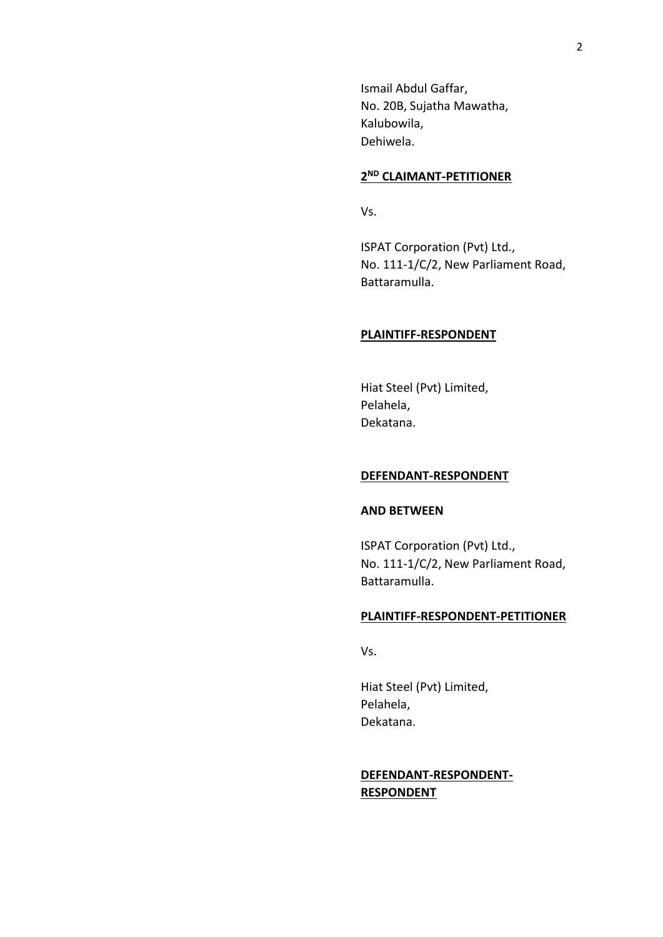Ismail Abdul Gaffar, No. 20B, Sujatha Mawatha, Kalubowila, Dehiwela.

### **2 ND CLAIMANT-PETITIONER**

Vs.

ISPAT Corporation (Pvt) Ltd., No. 111-1/C/2, New Parliament Road, Battaramulla.

#### **PLAINTIFF-RESPONDENT**

Hiat Steel (Pvt) Limited, Pelahela, Dekatana.

### **DEFENDANT-RESPONDENT**

### **AND BETWEEN**

ISPAT Corporation (Pvt) Ltd., No. 111-1/C/2, New Parliament Road, Battaramulla.

#### **PLAINTIFF-RESPONDENT-PETITIONER**

Vs.

Hiat Steel (Pvt) Limited, Pelahela, Dekatana.

## **DEFENDANT-RESPONDENT-RESPONDENT**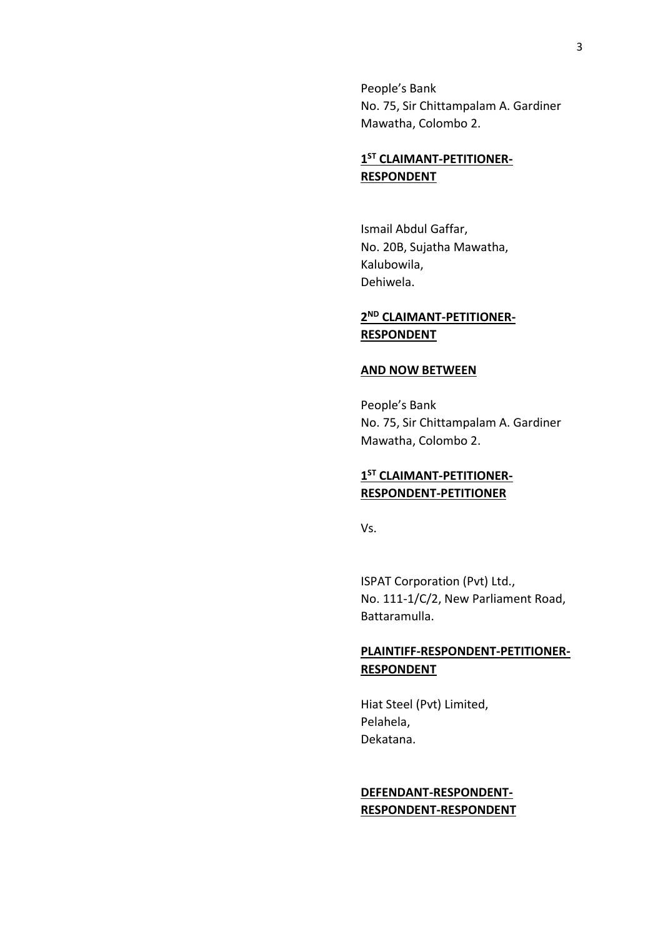People's Bank No. 75, Sir Chittampalam A. Gardiner Mawatha, Colombo 2.

# **1 ST CLAIMANT-PETITIONER-RESPONDENT**

Ismail Abdul Gaffar, No. 20B, Sujatha Mawatha, Kalubowila, Dehiwela.

## **2 ND CLAIMANT-PETITIONER-RESPONDENT**

### **AND NOW BETWEEN**

People's Bank No. 75, Sir Chittampalam A. Gardiner Mawatha, Colombo 2.

## **1 ST CLAIMANT-PETITIONER-RESPONDENT-PETITIONER**

Vs.

ISPAT Corporation (Pvt) Ltd., No. 111-1/C/2, New Parliament Road, Battaramulla.

# **PLAINTIFF-RESPONDENT-PETITIONER-RESPONDENT**

Hiat Steel (Pvt) Limited, Pelahela, Dekatana.

## **DEFENDANT-RESPONDENT-RESPONDENT-RESPONDENT**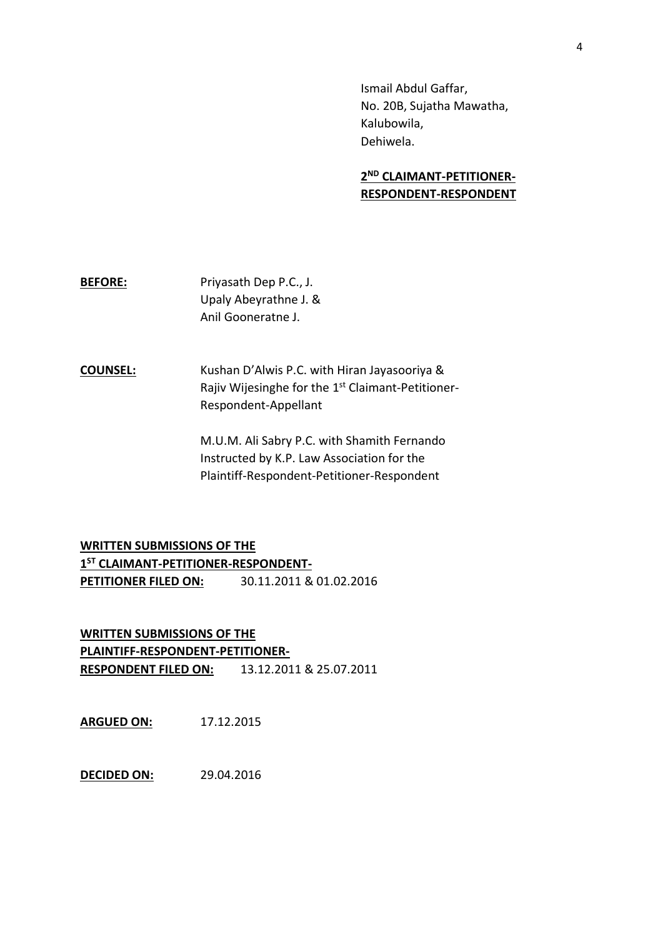Ismail Abdul Gaffar, No. 20B, Sujatha Mawatha, Kalubowila, Dehiwela.

# **2 ND CLAIMANT-PETITIONER-RESPONDENT-RESPONDENT**

**BEFORE:** Priyasath Dep P.C., J. Upaly Abeyrathne J. & Anil Gooneratne J.

**COUNSEL:** Kushan D'Alwis P.C. with Hiran Jayasooriya & Rajiv Wijesinghe for the 1<sup>st</sup> Claimant-Petitioner-Respondent-Appellant

> M.U.M. Ali Sabry P.C. with Shamith Fernando Instructed by K.P. Law Association for the Plaintiff-Respondent-Petitioner-Respondent

**WRITTEN SUBMISSIONS OF THE 1 ST CLAIMANT-PETITIONER-RESPONDENT-PETITIONER FILED ON:** 30.11.2011 & 01.02.2016

**WRITTEN SUBMISSIONS OF THE PLAINTIFF-RESPONDENT-PETITIONER-RESPONDENT FILED ON:** 13.12.2011 & 25.07.2011

**ARGUED ON:** 17.12.2015

**DECIDED ON:** 29.04.2016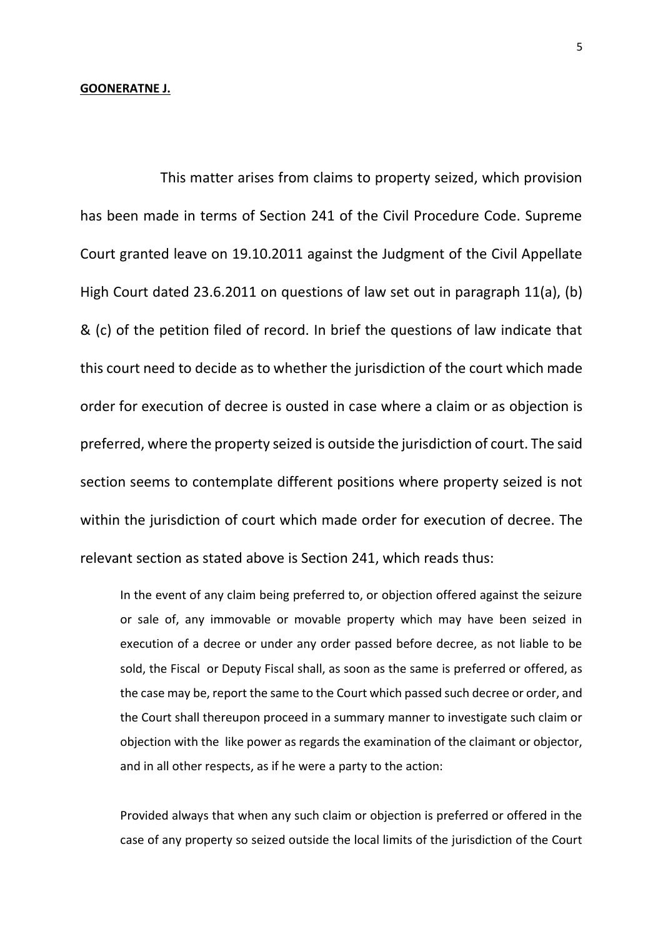#### **GOONERATNE J.**

This matter arises from claims to property seized, which provision has been made in terms of Section 241 of the Civil Procedure Code. Supreme Court granted leave on 19.10.2011 against the Judgment of the Civil Appellate High Court dated 23.6.2011 on questions of law set out in paragraph 11(a), (b) & (c) of the petition filed of record. In brief the questions of law indicate that this court need to decide as to whether the jurisdiction of the court which made order for execution of decree is ousted in case where a claim or as objection is preferred, where the property seized is outside the jurisdiction of court. The said section seems to contemplate different positions where property seized is not within the jurisdiction of court which made order for execution of decree. The relevant section as stated above is Section 241, which reads thus:

In the event of any claim being preferred to, or objection offered against the seizure or sale of, any immovable or movable property which may have been seized in execution of a decree or under any order passed before decree, as not liable to be sold, the Fiscal or Deputy Fiscal shall, as soon as the same is preferred or offered, as the case may be, report the same to the Court which passed such decree or order, and the Court shall thereupon proceed in a summary manner to investigate such claim or objection with the like power as regards the examination of the claimant or objector, and in all other respects, as if he were a party to the action:

Provided always that when any such claim or objection is preferred or offered in the case of any property so seized outside the local limits of the jurisdiction of the Court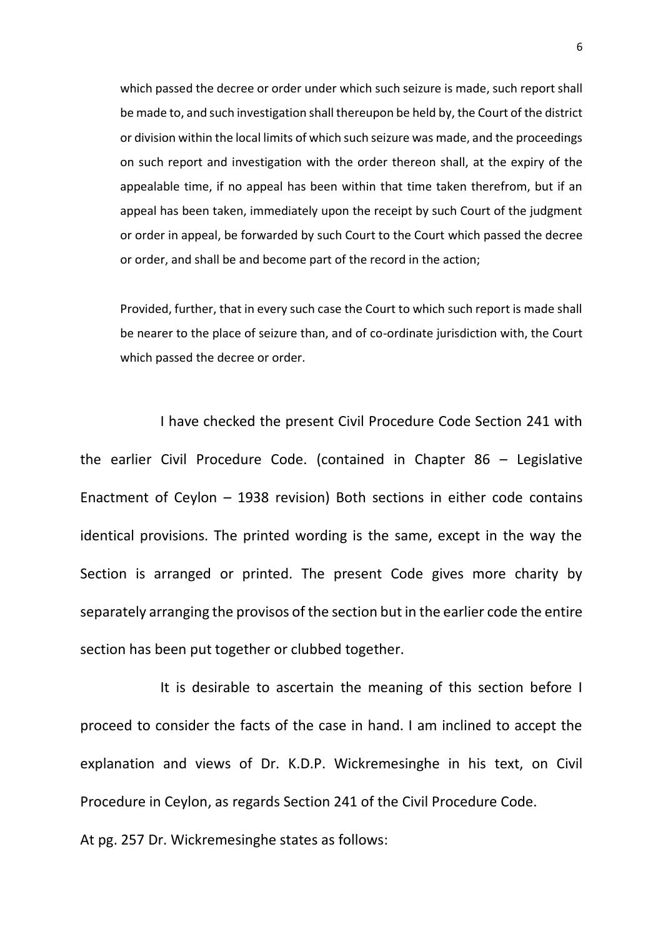which passed the decree or order under which such seizure is made, such report shall be made to, and such investigation shall thereupon be held by, the Court of the district or division within the local limits of which such seizure was made, and the proceedings on such report and investigation with the order thereon shall, at the expiry of the appealable time, if no appeal has been within that time taken therefrom, but if an appeal has been taken, immediately upon the receipt by such Court of the judgment or order in appeal, be forwarded by such Court to the Court which passed the decree or order, and shall be and become part of the record in the action;

Provided, further, that in every such case the Court to which such report is made shall be nearer to the place of seizure than, and of co-ordinate jurisdiction with, the Court which passed the decree or order.

I have checked the present Civil Procedure Code Section 241 with the earlier Civil Procedure Code. (contained in Chapter 86 – Legislative Enactment of Ceylon – 1938 revision) Both sections in either code contains identical provisions. The printed wording is the same, except in the way the Section is arranged or printed. The present Code gives more charity by separately arranging the provisos of the section but in the earlier code the entire section has been put together or clubbed together.

It is desirable to ascertain the meaning of this section before I proceed to consider the facts of the case in hand. I am inclined to accept the explanation and views of Dr. K.D.P. Wickremesinghe in his text, on Civil Procedure in Ceylon, as regards Section 241 of the Civil Procedure Code.

At pg. 257 Dr. Wickremesinghe states as follows: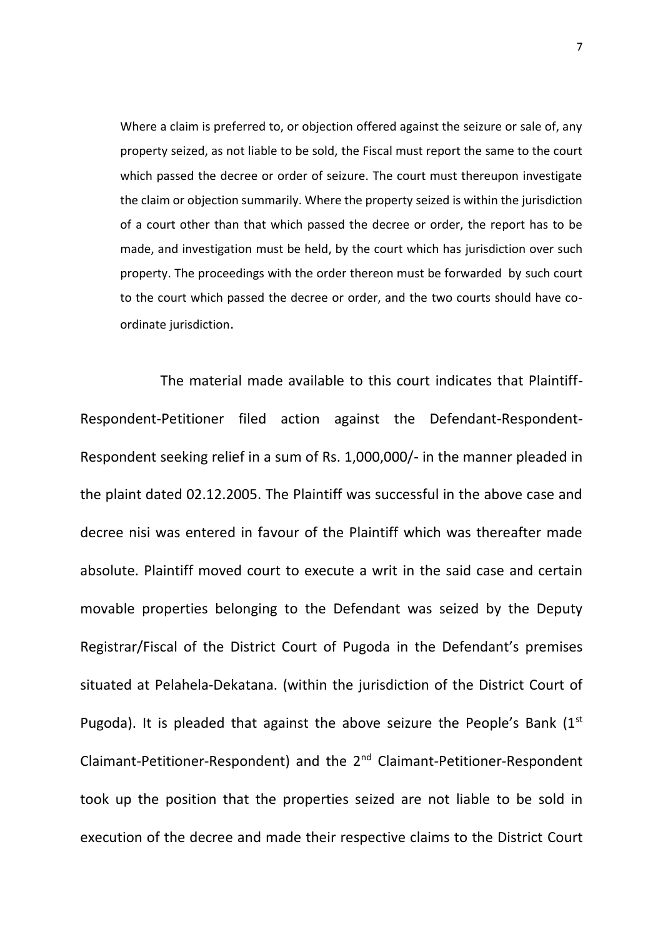Where a claim is preferred to, or objection offered against the seizure or sale of, any property seized, as not liable to be sold, the Fiscal must report the same to the court which passed the decree or order of seizure. The court must thereupon investigate the claim or objection summarily. Where the property seized is within the jurisdiction of a court other than that which passed the decree or order, the report has to be made, and investigation must be held, by the court which has jurisdiction over such property. The proceedings with the order thereon must be forwarded by such court to the court which passed the decree or order, and the two courts should have coordinate jurisdiction.

The material made available to this court indicates that Plaintiff-Respondent-Petitioner filed action against the Defendant-Respondent-Respondent seeking relief in a sum of Rs. 1,000,000/- in the manner pleaded in the plaint dated 02.12.2005. The Plaintiff was successful in the above case and decree nisi was entered in favour of the Plaintiff which was thereafter made absolute. Plaintiff moved court to execute a writ in the said case and certain movable properties belonging to the Defendant was seized by the Deputy Registrar/Fiscal of the District Court of Pugoda in the Defendant's premises situated at Pelahela-Dekatana. (within the jurisdiction of the District Court of Pugoda). It is pleaded that against the above seizure the People's Bank  $(1^{st}$ Claimant-Petitioner-Respondent) and the 2nd Claimant-Petitioner-Respondent took up the position that the properties seized are not liable to be sold in execution of the decree and made their respective claims to the District Court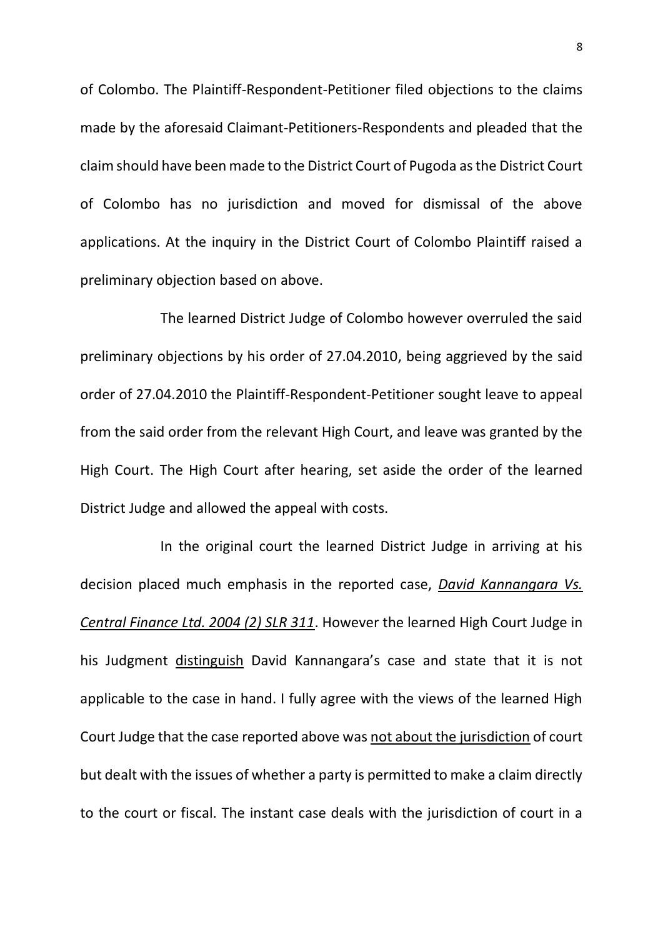of Colombo. The Plaintiff-Respondent-Petitioner filed objections to the claims made by the aforesaid Claimant-Petitioners-Respondents and pleaded that the claim should have been made to the District Court of Pugoda as the District Court of Colombo has no jurisdiction and moved for dismissal of the above applications. At the inquiry in the District Court of Colombo Plaintiff raised a preliminary objection based on above.

The learned District Judge of Colombo however overruled the said preliminary objections by his order of 27.04.2010, being aggrieved by the said order of 27.04.2010 the Plaintiff-Respondent-Petitioner sought leave to appeal from the said order from the relevant High Court, and leave was granted by the High Court. The High Court after hearing, set aside the order of the learned District Judge and allowed the appeal with costs.

In the original court the learned District Judge in arriving at his decision placed much emphasis in the reported case, *David Kannangara Vs. Central Finance Ltd. 2004 (2) SLR 311*. However the learned High Court Judge in his Judgment distinguish David Kannangara's case and state that it is not applicable to the case in hand. I fully agree with the views of the learned High Court Judge that the case reported above was not about the jurisdiction of court but dealt with the issues of whether a party is permitted to make a claim directly to the court or fiscal. The instant case deals with the jurisdiction of court in a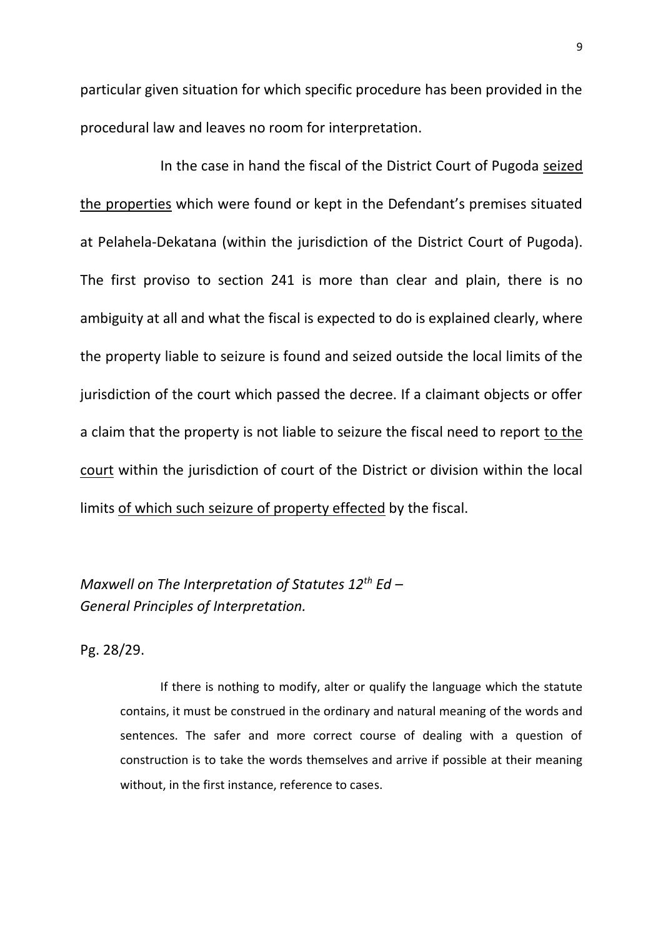particular given situation for which specific procedure has been provided in the procedural law and leaves no room for interpretation.

In the case in hand the fiscal of the District Court of Pugoda seized the properties which were found or kept in the Defendant's premises situated at Pelahela-Dekatana (within the jurisdiction of the District Court of Pugoda). The first proviso to section 241 is more than clear and plain, there is no ambiguity at all and what the fiscal is expected to do is explained clearly, where the property liable to seizure is found and seized outside the local limits of the jurisdiction of the court which passed the decree. If a claimant objects or offer a claim that the property is not liable to seizure the fiscal need to report to the court within the jurisdiction of court of the District or division within the local limits of which such seizure of property effected by the fiscal.

*Maxwell on The Interpretation of Statutes 12th Ed – General Principles of Interpretation.*

Pg. 28/29.

If there is nothing to modify, alter or qualify the language which the statute contains, it must be construed in the ordinary and natural meaning of the words and sentences. The safer and more correct course of dealing with a question of construction is to take the words themselves and arrive if possible at their meaning without, in the first instance, reference to cases.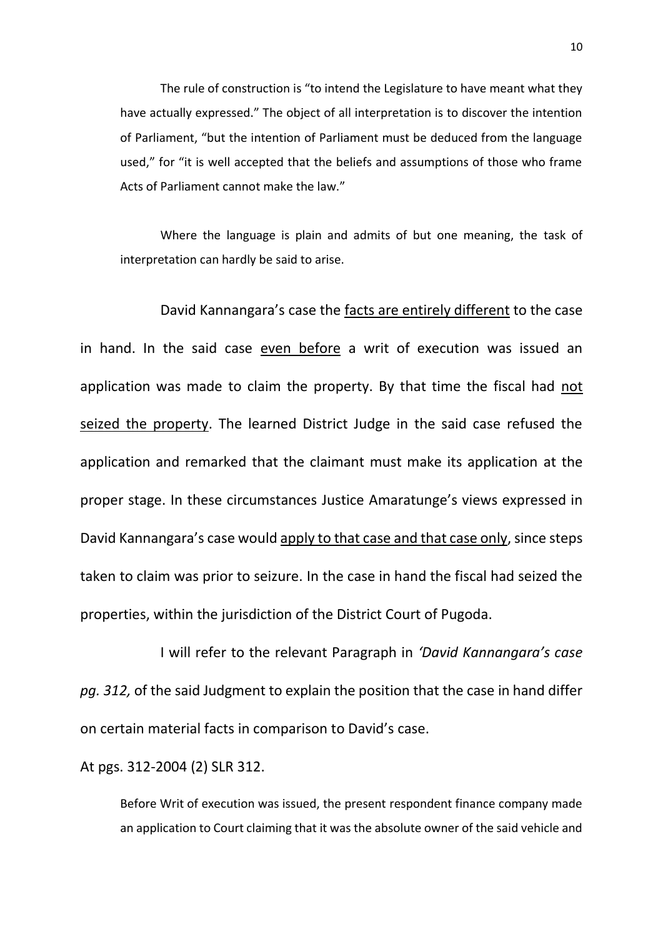The rule of construction is "to intend the Legislature to have meant what they have actually expressed." The object of all interpretation is to discover the intention of Parliament, "but the intention of Parliament must be deduced from the language used," for "it is well accepted that the beliefs and assumptions of those who frame Acts of Parliament cannot make the law."

Where the language is plain and admits of but one meaning, the task of interpretation can hardly be said to arise.

David Kannangara's case the facts are entirely different to the case in hand. In the said case even before a writ of execution was issued an application was made to claim the property. By that time the fiscal had not seized the property. The learned District Judge in the said case refused the application and remarked that the claimant must make its application at the proper stage. In these circumstances Justice Amaratunge's views expressed in David Kannangara's case would apply to that case and that case only, since steps taken to claim was prior to seizure. In the case in hand the fiscal had seized the properties, within the jurisdiction of the District Court of Pugoda.

I will refer to the relevant Paragraph in *'David Kannangara's case pg. 312,* of the said Judgment to explain the position that the case in hand differ on certain material facts in comparison to David's case.

At pgs. 312-2004 (2) SLR 312.

Before Writ of execution was issued, the present respondent finance company made an application to Court claiming that it was the absolute owner of the said vehicle and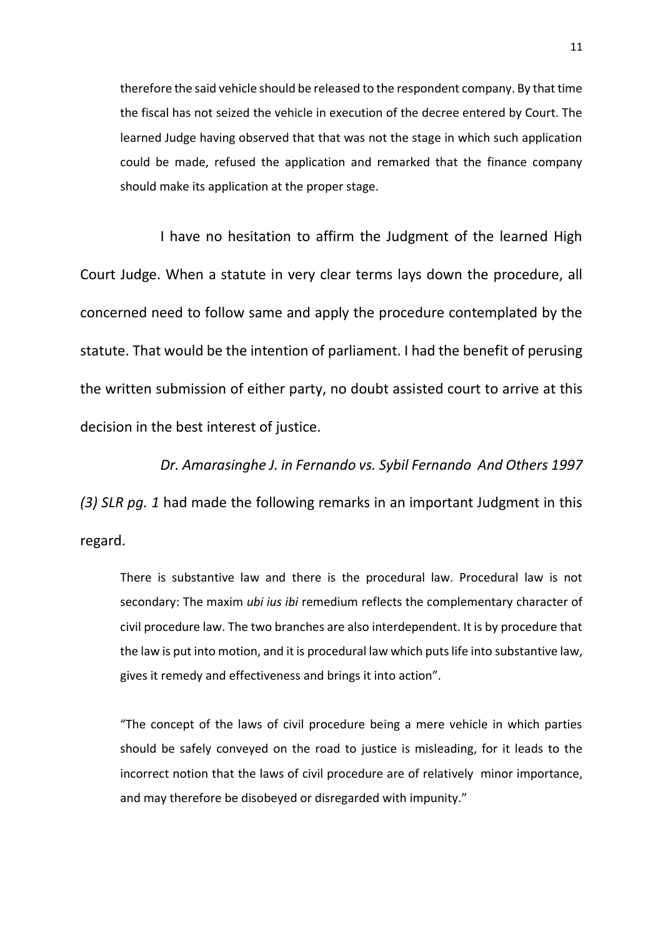therefore the said vehicle should be released to the respondent company. By that time the fiscal has not seized the vehicle in execution of the decree entered by Court. The learned Judge having observed that that was not the stage in which such application could be made, refused the application and remarked that the finance company should make its application at the proper stage.

I have no hesitation to affirm the Judgment of the learned High Court Judge. When a statute in very clear terms lays down the procedure, all concerned need to follow same and apply the procedure contemplated by the statute. That would be the intention of parliament. I had the benefit of perusing the written submission of either party, no doubt assisted court to arrive at this decision in the best interest of justice.

*Dr. Amarasinghe J. in Fernando vs. Sybil Fernando And Others 1997 (3) SLR pg. 1* had made the following remarks in an important Judgment in this regard.

There is substantive law and there is the procedural law. Procedural law is not secondary: The maxim *ubi ius ibi* remedium reflects the complementary character of civil procedure law. The two branches are also interdependent. It is by procedure that the law is put into motion, and it is procedural law which puts life into substantive law, gives it remedy and effectiveness and brings it into action".

"The concept of the laws of civil procedure being a mere vehicle in which parties should be safely conveyed on the road to justice is misleading, for it leads to the incorrect notion that the laws of civil procedure are of relatively minor importance, and may therefore be disobeyed or disregarded with impunity."